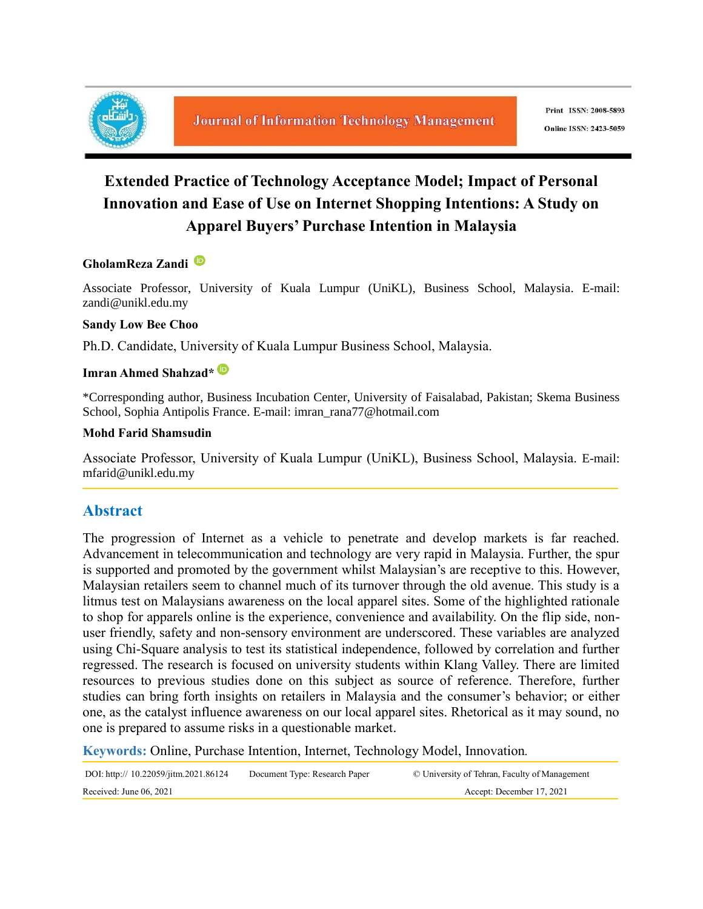

# **Extended Practice of Technology Acceptance Model; Impact of Personal Innovation and Ease of Use on Internet Shopping Intentions: A Study on Apparel Buyers' Purchase Intention in Malaysia**

#### **GholamReza Zandi**

Associate Professor, University of Kuala Lumpur (UniKL), Business School, Malaysia. E-mail: zandi@unikl.edu.my

#### **Sandy Low Bee Choo**

Ph.D. Candidate, University of Kuala Lumpur Business School, Malaysia.

### **Imran Ahmed Shahzad\***

\*Corresponding author, Business Incubation Center, University of Faisalabad, Pakistan; Skema Business School, Sophia Antipolis France. E-mail: imran\_rana77@hotmail.com

#### **Mohd Farid Shamsudin**

Associate Professor, University of Kuala Lumpur (UniKL), Business School, Malaysia. E-mail: mfarid@unikl.edu.my

# **Abstract**

The progression of Internet as a vehicle to penetrate and develop markets is far reached. Advancement in telecommunication and technology are very rapid in Malaysia. Further, the spur is supported and promoted by the government whilst Malaysian's are receptive to this. However, Malaysian retailers seem to channel much of its turnover through the old avenue. This study is a litmus test on Malaysians awareness on the local apparel sites. Some of the highlighted rationale to shop for apparels online is the experience, convenience and availability. On the flip side, nonuser friendly, safety and non-sensory environment are underscored. These variables are analyzed using Chi-Square analysis to test its statistical independence, followed by correlation and further regressed. The research is focused on university students within Klang Valley. There are limited resources to previous studies done on this subject as source of reference. Therefore, further studies can bring forth insights on retailers in Malaysia and the consumer's behavior; or either one, as the catalyst influence awareness on our local apparel sites. Rhetorical as it may sound, no one is prepared to assume risks in a questionable market.

**Keywords:** Online, Purchase Intention, Internet, Technology Model, Innovation*.*

| DOI: http:// 10.22059/jitm.2021.86124 | Document Type: Research Paper | © University of Tehran, Faculty of Management |
|---------------------------------------|-------------------------------|-----------------------------------------------|
| Received: June $06, 2021$             |                               | Accept: December 17, 2021                     |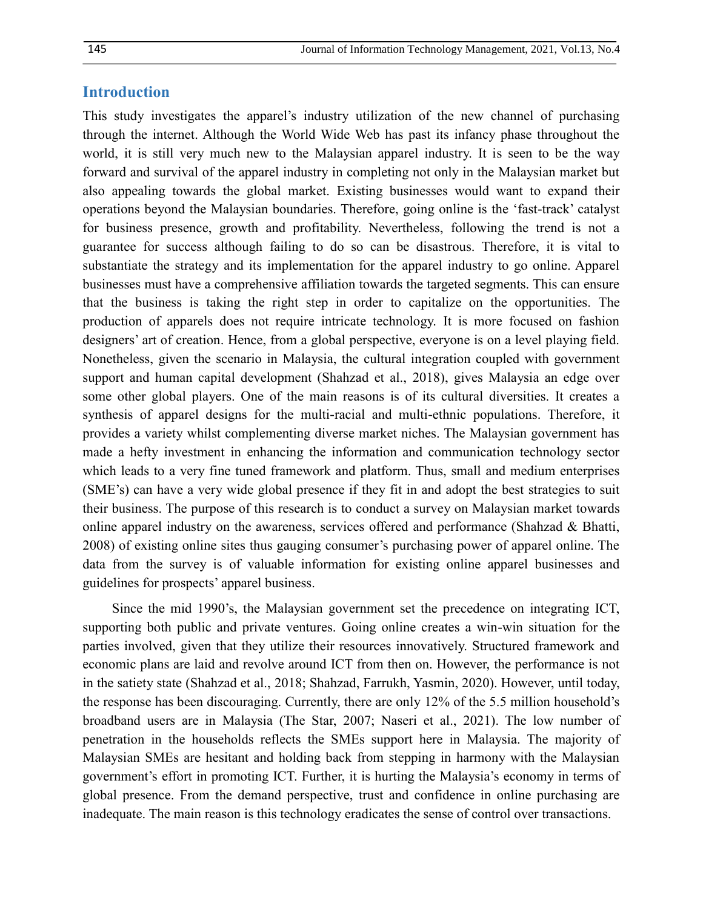#### **Introduction**

This study investigates the apparel's industry utilization of the new channel of purchasing through the internet. Although the World Wide Web has past its infancy phase throughout the world, it is still very much new to the Malaysian apparel industry. It is seen to be the way forward and survival of the apparel industry in completing not only in the Malaysian market but also appealing towards the global market. Existing businesses would want to expand their operations beyond the Malaysian boundaries. Therefore, going online is the 'fast-track' catalyst for business presence, growth and profitability. Nevertheless, following the trend is not a guarantee for success although failing to do so can be disastrous. Therefore, it is vital to substantiate the strategy and its implementation for the apparel industry to go online. Apparel businesses must have a comprehensive affiliation towards the targeted segments. This can ensure that the business is taking the right step in order to capitalize on the opportunities. The production of apparels does not require intricate technology. It is more focused on fashion designers' art of creation. Hence, from a global perspective, everyone is on a level playing field. Nonetheless, given the scenario in Malaysia, the cultural integration coupled with government support and human capital development (Shahzad et al., 2018), gives Malaysia an edge over some other global players. One of the main reasons is of its cultural diversities. It creates a synthesis of apparel designs for the multi-racial and multi-ethnic populations. Therefore, it provides a variety whilst complementing diverse market niches. The Malaysian government has made a hefty investment in enhancing the information and communication technology sector which leads to a very fine tuned framework and platform. Thus, small and medium enterprises (SME's) can have a very wide global presence if they fit in and adopt the best strategies to suit their business. The purpose of this research is to conduct a survey on Malaysian market towards online apparel industry on the awareness, services offered and performance (Shahzad & Bhatti, 2008) of existing online sites thus gauging consumer's purchasing power of apparel online. The data from the survey is of valuable information for existing online apparel businesses and guidelines for prospects' apparel business.

Since the mid 1990's, the Malaysian government set the precedence on integrating ICT, supporting both public and private ventures. Going online creates a win-win situation for the parties involved, given that they utilize their resources innovatively. Structured framework and economic plans are laid and revolve around ICT from then on. However, the performance is not in the satiety state (Shahzad et al., 2018; Shahzad, Farrukh, Yasmin, 2020). However, until today, the response has been discouraging. Currently, there are only 12% of the 5.5 million household's broadband users are in Malaysia (The Star, 2007; Naseri et al., 2021). The low number of penetration in the households reflects the SMEs support here in Malaysia. The majority of Malaysian SMEs are hesitant and holding back from stepping in harmony with the Malaysian government's effort in promoting ICT. Further, it is hurting the Malaysia's economy in terms of global presence. From the demand perspective, trust and confidence in online purchasing are inadequate. The main reason is this technology eradicates the sense of control over transactions.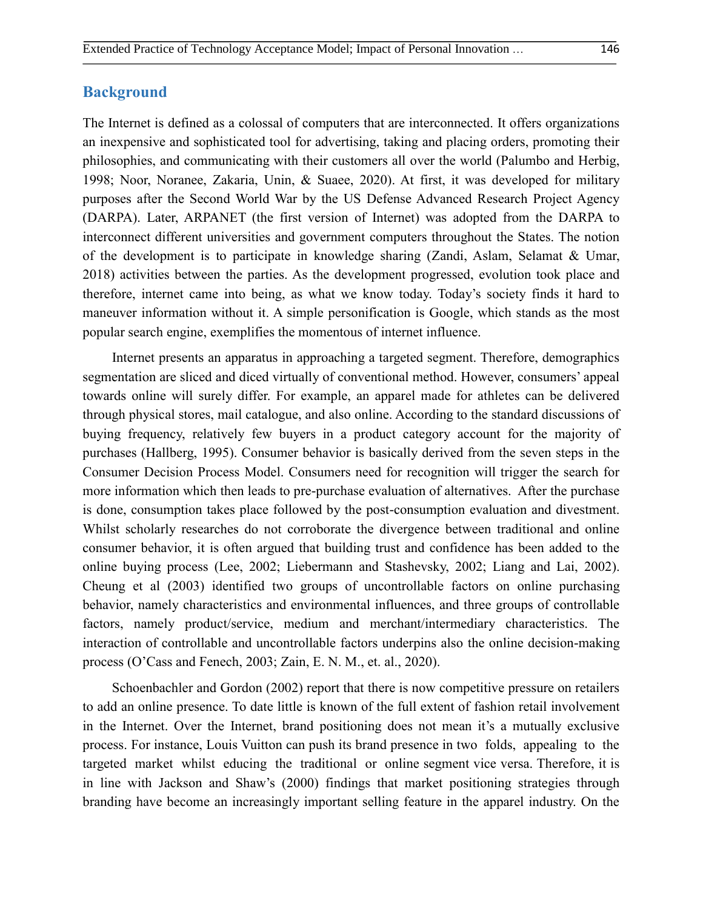#### **Background**

The Internet is defined as a colossal of computers that are interconnected. It offers organizations an inexpensive and sophisticated tool for advertising, taking and placing orders, promoting their philosophies, and communicating with their customers all over the world (Palumbo and Herbig, 1998; Noor, Noranee, Zakaria, Unin, & Suaee, 2020). At first, it was developed for military purposes after the Second World War by the US Defense Advanced Research Project Agency (DARPA). Later, ARPANET (the first version of Internet) was adopted from the DARPA to interconnect different universities and government computers throughout the States. The notion of the development is to participate in knowledge sharing (Zandi, Aslam, Selamat & Umar, 2018) activities between the parties. As the development progressed, evolution took place and therefore, internet came into being, as what we know today. Today's society finds it hard to maneuver information without it. A simple personification is Google, which stands as the most popular search engine, exemplifies the momentous of internet influence.

Internet presents an apparatus in approaching a targeted segment. Therefore, demographics segmentation are sliced and diced virtually of conventional method. However, consumers' appeal towards online will surely differ. For example, an apparel made for athletes can be delivered through physical stores, mail catalogue, and also online. According to the standard discussions of buying frequency, relatively few buyers in a product category account for the majority of purchases (Hallberg, 1995). Consumer behavior is basically derived from the seven steps in the Consumer Decision Process Model. Consumers need for recognition will trigger the search for more information which then leads to pre-purchase evaluation of alternatives. After the purchase is done, consumption takes place followed by the post-consumption evaluation and divestment. Whilst scholarly researches do not corroborate the divergence between traditional and online consumer behavior, it is often argued that building trust and confidence has been added to the online buying process (Lee, 2002; Liebermann and Stashevsky, 2002; Liang and Lai, 2002). Cheung et al (2003) identified two groups of uncontrollable factors on online purchasing behavior, namely characteristics and environmental influences, and three groups of controllable factors, namely product/service, medium and merchant/intermediary characteristics. The interaction of controllable and uncontrollable factors underpins also the online decision-making process (O'Cass and Fenech, 2003; Zain, E. N. M., et. al., 2020).

Schoenbachler and Gordon (2002) report that there is now competitive pressure on retailers to add an online presence. To date little is known of the full extent of fashion retail involvement in the Internet. Over the Internet, brand positioning does not mean it's a mutually exclusive process. For instance, Louis Vuitton can push its brand presence in two folds, appealing to the targeted market whilst educing the traditional or online segment vice versa. Therefore, it is in line with Jackson and Shaw's (2000) findings that market positioning strategies through branding have become an increasingly important selling feature in the apparel industry. On the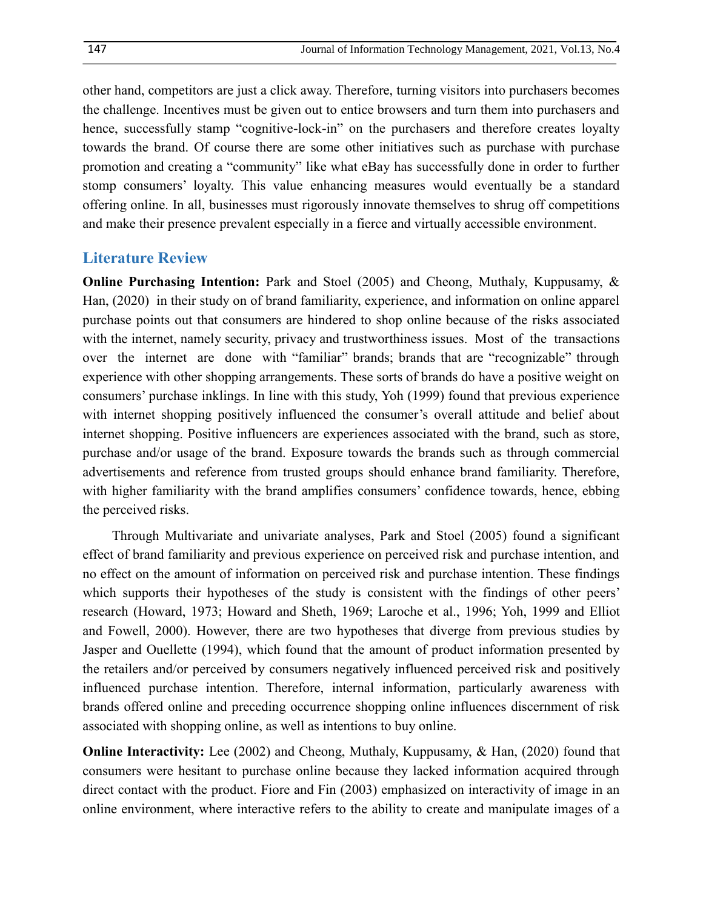other hand, competitors are just a click away. Therefore, turning visitors into purchasers becomes the challenge. Incentives must be given out to entice browsers and turn them into purchasers and hence, successfully stamp "cognitive-lock-in" on the purchasers and therefore creates loyalty towards the brand. Of course there are some other initiatives such as purchase with purchase promotion and creating a "community" like what eBay has successfully done in order to further stomp consumers' loyalty. This value enhancing measures would eventually be a standard offering online. In all, businesses must rigorously innovate themselves to shrug off competitions and make their presence prevalent especially in a fierce and virtually accessible environment.

#### **Literature Review**

**Online Purchasing Intention:** Park and Stoel (2005) and Cheong, Muthaly, Kuppusamy, & Han, (2020) in their study on of brand familiarity, experience, and information on online apparel purchase points out that consumers are hindered to shop online because of the risks associated with the internet, namely security, privacy and trustworthiness issues. Most of the transactions over the internet are done with "familiar" brands; brands that are "recognizable" through experience with other shopping arrangements. These sorts of brands do have a positive weight on consumers' purchase inklings. In line with this study, Yoh (1999) found that previous experience with internet shopping positively influenced the consumer's overall attitude and belief about internet shopping. Positive influencers are experiences associated with the brand, such as store, purchase and/or usage of the brand. Exposure towards the brands such as through commercial advertisements and reference from trusted groups should enhance brand familiarity. Therefore, with higher familiarity with the brand amplifies consumers' confidence towards, hence, ebbing the perceived risks.

Through Multivariate and univariate analyses, Park and Stoel (2005) found a significant effect of brand familiarity and previous experience on perceived risk and purchase intention, and no effect on the amount of information on perceived risk and purchase intention. These findings which supports their hypotheses of the study is consistent with the findings of other peers' research (Howard, 1973; Howard and Sheth, 1969; Laroche et al., 1996; Yoh, 1999 and Elliot and Fowell, 2000). However, there are two hypotheses that diverge from previous studies by Jasper and Ouellette (1994), which found that the amount of product information presented by the retailers and/or perceived by consumers negatively influenced perceived risk and positively influenced purchase intention. Therefore, internal information, particularly awareness with brands offered online and preceding occurrence shopping online influences discernment of risk associated with shopping online, as well as intentions to buy online.

**Online Interactivity:** Lee (2002) and Cheong, Muthaly, Kuppusamy, & Han, (2020) found that consumers were hesitant to purchase online because they lacked information acquired through direct contact with the product. Fiore and Fin (2003) emphasized on interactivity of image in an online environment, where interactive refers to the ability to create and manipulate images of a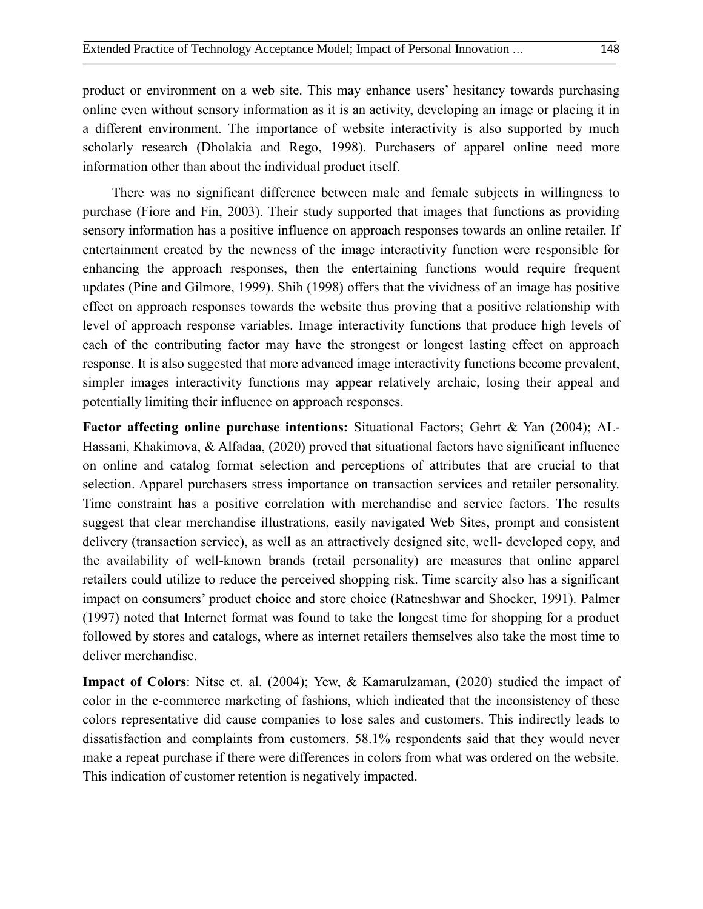product or environment on a web site. This may enhance users' hesitancy towards purchasing online even without sensory information as it is an activity, developing an image or placing it in a different environment. The importance of website interactivity is also supported by much scholarly research (Dholakia and Rego, 1998). Purchasers of apparel online need more information other than about the individual product itself.

There was no significant difference between male and female subjects in willingness to purchase (Fiore and Fin, 2003). Their study supported that images that functions as providing sensory information has a positive influence on approach responses towards an online retailer. If entertainment created by the newness of the image interactivity function were responsible for enhancing the approach responses, then the entertaining functions would require frequent updates (Pine and Gilmore, 1999). Shih (1998) offers that the vividness of an image has positive effect on approach responses towards the website thus proving that a positive relationship with level of approach response variables. Image interactivity functions that produce high levels of each of the contributing factor may have the strongest or longest lasting effect on approach response. It is also suggested that more advanced image interactivity functions become prevalent, simpler images interactivity functions may appear relatively archaic, losing their appeal and potentially limiting their influence on approach responses.

**Factor affecting online purchase intentions:** Situational Factors; Gehrt & Yan (2004); AL-Hassani, Khakimova, & Alfadaa, (2020) proved that situational factors have significant influence on online and catalog format selection and perceptions of attributes that are crucial to that selection. Apparel purchasers stress importance on transaction services and retailer personality. Time constraint has a positive correlation with merchandise and service factors. The results suggest that clear merchandise illustrations, easily navigated Web Sites, prompt and consistent delivery (transaction service), as well as an attractively designed site, well- developed copy, and the availability of well-known brands (retail personality) are measures that online apparel retailers could utilize to reduce the perceived shopping risk. Time scarcity also has a significant impact on consumers' product choice and store choice (Ratneshwar and Shocker, 1991). Palmer (1997) noted that Internet format was found to take the longest time for shopping for a product followed by stores and catalogs, where as internet retailers themselves also take the most time to deliver merchandise.

**Impact of Colors**: Nitse et. al. (2004); Yew, & Kamarulzaman, (2020) studied the impact of color in the e-commerce marketing of fashions, which indicated that the inconsistency of these colors representative did cause companies to lose sales and customers. This indirectly leads to dissatisfaction and complaints from customers. 58.1% respondents said that they would never make a repeat purchase if there were differences in colors from what was ordered on the website. This indication of customer retention is negatively impacted.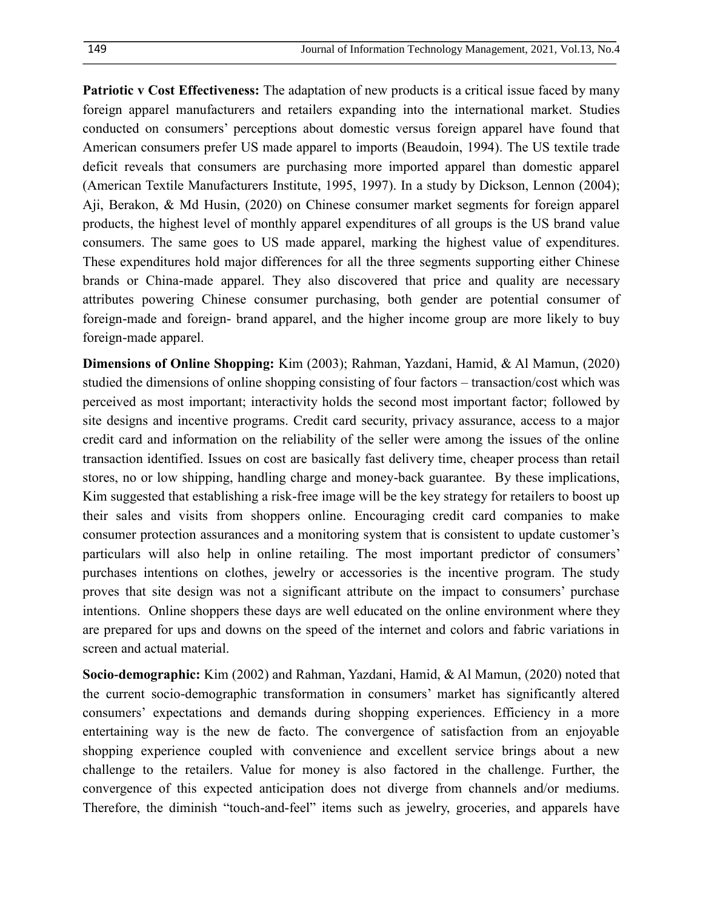**Patriotic v Cost Effectiveness:** The adaptation of new products is a critical issue faced by many foreign apparel manufacturers and retailers expanding into the international market. Studies conducted on consumers' perceptions about domestic versus foreign apparel have found that American consumers prefer US made apparel to imports (Beaudoin, 1994). The US textile trade deficit reveals that consumers are purchasing more imported apparel than domestic apparel (American Textile Manufacturers Institute, 1995, 1997). In a study by Dickson, Lennon (2004); Aji, Berakon, & Md Husin, (2020) on Chinese consumer market segments for foreign apparel products, the highest level of monthly apparel expenditures of all groups is the US brand value consumers. The same goes to US made apparel, marking the highest value of expenditures. These expenditures hold major differences for all the three segments supporting either Chinese brands or China-made apparel. They also discovered that price and quality are necessary attributes powering Chinese consumer purchasing, both gender are potential consumer of foreign-made and foreign- brand apparel, and the higher income group are more likely to buy foreign-made apparel.

**Dimensions of Online Shopping:** Kim (2003); Rahman, Yazdani, Hamid, & Al Mamun, (2020) studied the dimensions of online shopping consisting of four factors – transaction/cost which was perceived as most important; interactivity holds the second most important factor; followed by site designs and incentive programs. Credit card security, privacy assurance, access to a major credit card and information on the reliability of the seller were among the issues of the online transaction identified. Issues on cost are basically fast delivery time, cheaper process than retail stores, no or low shipping, handling charge and money-back guarantee. By these implications, Kim suggested that establishing a risk-free image will be the key strategy for retailers to boost up their sales and visits from shoppers online. Encouraging credit card companies to make consumer protection assurances and a monitoring system that is consistent to update customer's particulars will also help in online retailing. The most important predictor of consumers' purchases intentions on clothes, jewelry or accessories is the incentive program. The study proves that site design was not a significant attribute on the impact to consumers' purchase intentions. Online shoppers these days are well educated on the online environment where they are prepared for ups and downs on the speed of the internet and colors and fabric variations in screen and actual material.

**Socio-demographic:** Kim (2002) and Rahman, Yazdani, Hamid, & Al Mamun, (2020) noted that the current socio-demographic transformation in consumers' market has significantly altered consumers' expectations and demands during shopping experiences. Efficiency in a more entertaining way is the new de facto. The convergence of satisfaction from an enjoyable shopping experience coupled with convenience and excellent service brings about a new challenge to the retailers. Value for money is also factored in the challenge. Further, the convergence of this expected anticipation does not diverge from channels and/or mediums. Therefore, the diminish "touch-and-feel" items such as jewelry, groceries, and apparels have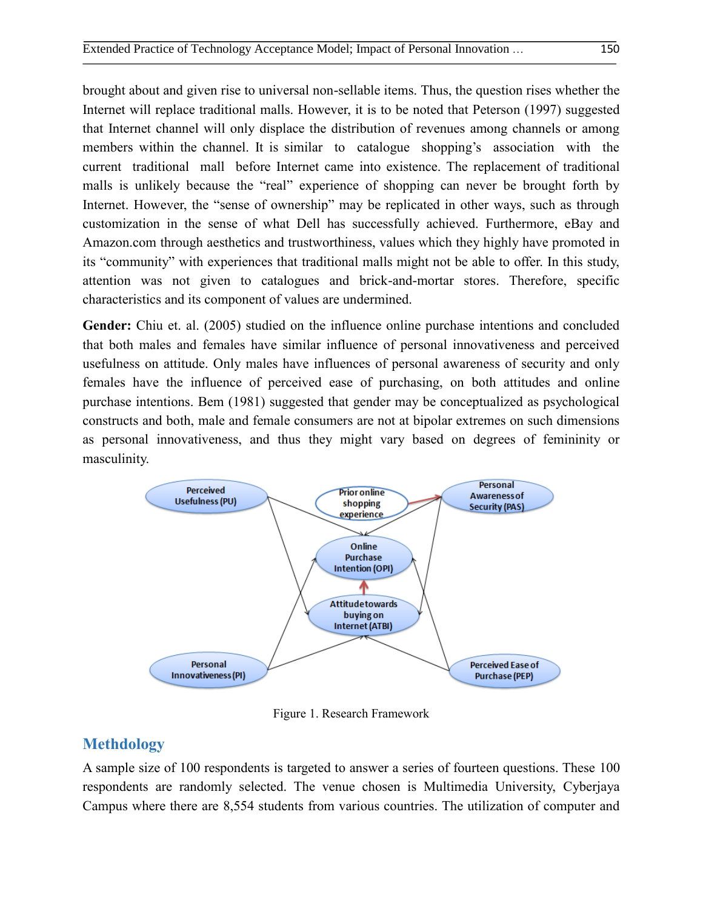brought about and given rise to universal non-sellable items. Thus, the question rises whether the Internet will replace traditional malls. However, it is to be noted that Peterson (1997) suggested that Internet channel will only displace the distribution of revenues among channels or among members within the channel. It is similar to catalogue shopping's association with the current traditional mall before Internet came into existence. The replacement of traditional malls is unlikely because the "real" experience of shopping can never be brought forth by Internet. However, the "sense of ownership" may be replicated in other ways, such as through customization in the sense of what Dell has successfully achieved. Furthermore, eBay and Amazon.com through aesthetics and trustworthiness, values which they highly have promoted in its "community" with experiences that traditional malls might not be able to offer. In this study, attention was not given to catalogues and brick-and-mortar stores. Therefore, specific characteristics and its component of values are undermined.

Gender: Chiu et. al. (2005) studied on the influence online purchase intentions and concluded that both males and females have similar influence of personal innovativeness and perceived usefulness on attitude. Only males have influences of personal awareness of security and only females have the influence of perceived ease of purchasing, on both attitudes and online purchase intentions. Bem (1981) suggested that gender may be conceptualized as psychological constructs and both, male and female consumers are not at bipolar extremes on such dimensions as personal innovativeness, and thus they might vary based on degrees of femininity or masculinity.



Figure 1. Research Framework

# **Methdology**

A sample size of 100 respondents is targeted to answer a series of fourteen questions. These 100 respondents are randomly selected. The venue chosen is Multimedia University, Cyberjaya Campus where there are 8,554 students from various countries. The utilization of computer and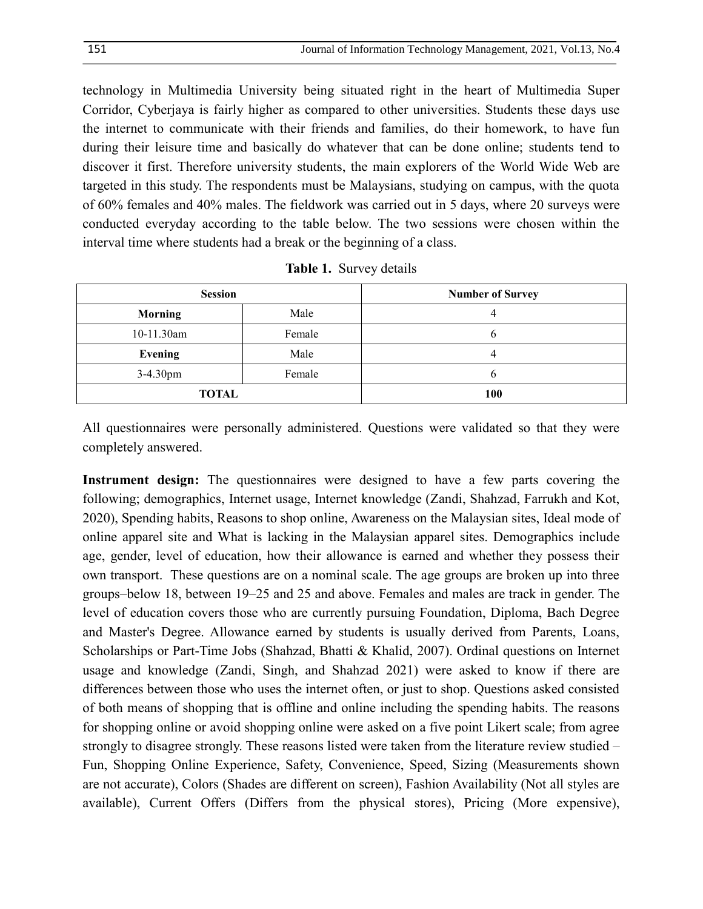technology in Multimedia University being situated right in the heart of Multimedia Super Corridor, Cyberjaya is fairly higher as compared to other universities. Students these days use the internet to communicate with their friends and families, do their homework, to have fun during their leisure time and basically do whatever that can be done online; students tend to discover it first. Therefore university students, the main explorers of the World Wide Web are targeted in this study. The respondents must be Malaysians, studying on campus, with the quota of 60% females and 40% males. The fieldwork was carried out in 5 days, where 20 surveys were conducted everyday according to the table below. The two sessions were chosen within the interval time where students had a break or the beginning of a class.

| <b>Session</b> |        | <b>Number of Survey</b> |  |
|----------------|--------|-------------------------|--|
| <b>Morning</b> | Male   | 4                       |  |
| 10-11.30am     | Female | b                       |  |
| <b>Evening</b> | Male   | 4                       |  |
| $3-4.30$ pm    | Female | b                       |  |
| <b>TOTAL</b>   |        | 100                     |  |
|                |        |                         |  |

**Table 1.** Survey details

All questionnaires were personally administered. Questions were validated so that they were completely answered.

**Instrument design:** The questionnaires were designed to have a few parts covering the following; demographics, Internet usage, Internet knowledge (Zandi, Shahzad, Farrukh and Kot, 2020), Spending habits, Reasons to shop online, Awareness on the Malaysian sites, Ideal mode of online apparel site and What is lacking in the Malaysian apparel sites. Demographics include age, gender, level of education, how their allowance is earned and whether they possess their own transport. These questions are on a nominal scale. The age groups are broken up into three groups–below 18, between 19–25 and 25 and above. Females and males are track in gender. The level of education covers those who are currently pursuing Foundation, Diploma, Bach Degree and Master's Degree. Allowance earned by students is usually derived from Parents, Loans, Scholarships or Part-Time Jobs (Shahzad, Bhatti & Khalid, 2007). Ordinal questions on Internet usage and knowledge (Zandi, Singh, and Shahzad 2021) were asked to know if there are differences between those who uses the internet often, or just to shop. Questions asked consisted of both means of shopping that is offline and online including the spending habits. The reasons for shopping online or avoid shopping online were asked on a five point Likert scale; from agree strongly to disagree strongly. These reasons listed were taken from the literature review studied – Fun, Shopping Online Experience, Safety, Convenience, Speed, Sizing (Measurements shown are not accurate), Colors (Shades are different on screen), Fashion Availability (Not all styles are available), Current Offers (Differs from the physical stores), Pricing (More expensive),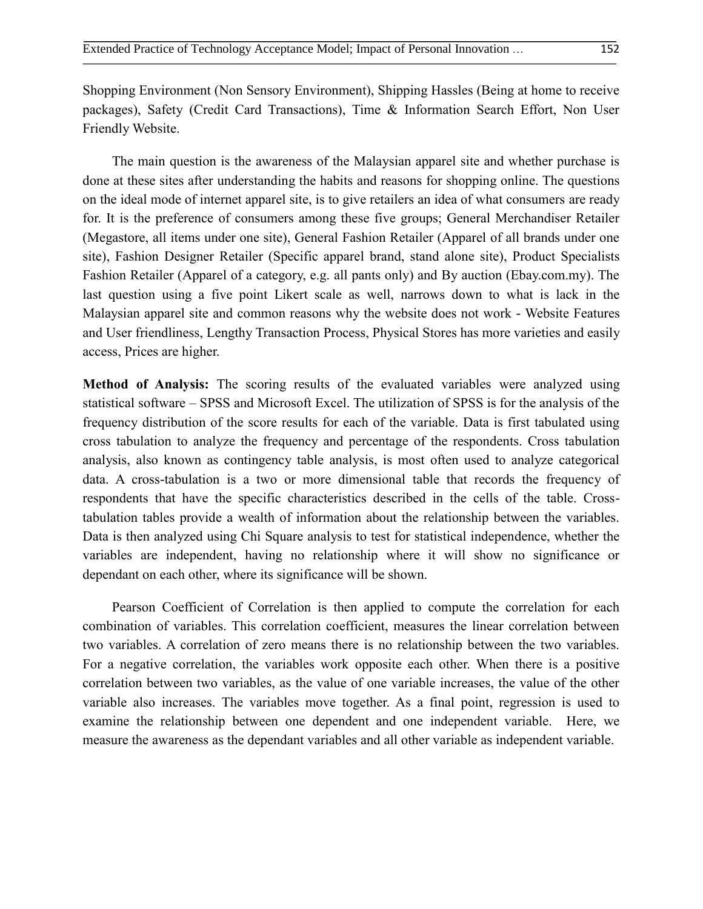Shopping Environment (Non Sensory Environment), Shipping Hassles (Being at home to receive packages), Safety (Credit Card Transactions), Time & Information Search Effort, Non User Friendly Website.

The main question is the awareness of the Malaysian apparel site and whether purchase is done at these sites after understanding the habits and reasons for shopping online. The questions on the ideal mode of internet apparel site, is to give retailers an idea of what consumers are ready for. It is the preference of consumers among these five groups; General Merchandiser Retailer (Megastore, all items under one site), General Fashion Retailer (Apparel of all brands under one site), Fashion Designer Retailer (Specific apparel brand, stand alone site), Product Specialists Fashion Retailer (Apparel of a category, e.g. all pants only) and By auction (Ebay.com.my). The last question using a five point Likert scale as well, narrows down to what is lack in the Malaysian apparel site and common reasons why the website does not work - Website Features and User friendliness, Lengthy Transaction Process, Physical Stores has more varieties and easily access, Prices are higher.

**Method of Analysis:** The scoring results of the evaluated variables were analyzed using statistical software – SPSS and Microsoft Excel. The utilization of SPSS is for the analysis of the frequency distribution of the score results for each of the variable. Data is first tabulated using cross tabulation to analyze the frequency and percentage of the respondents. Cross tabulation analysis, also known as contingency table analysis, is most often used to analyze categorical data. A cross-tabulation is a two or more dimensional table that records the frequency of respondents that have the specific characteristics described in the cells of the table. Crosstabulation tables provide a wealth of information about the relationship between the variables. Data is then analyzed using Chi Square analysis to test for statistical independence, whether the variables are independent, having no relationship where it will show no significance or dependant on each other, where its significance will be shown.

Pearson Coefficient of Correlation is then applied to compute the correlation for each combination of variables. This correlation coefficient, measures the linear correlation between two variables. A correlation of zero means there is no relationship between the two variables. For a negative correlation, the variables work opposite each other. When there is a positive correlation between two variables, as the value of one variable increases, the value of the other variable also increases. The variables move together. As a final point, regression is used to examine the relationship between one dependent and one independent variable. Here, we measure the awareness as the dependant variables and all other variable as independent variable.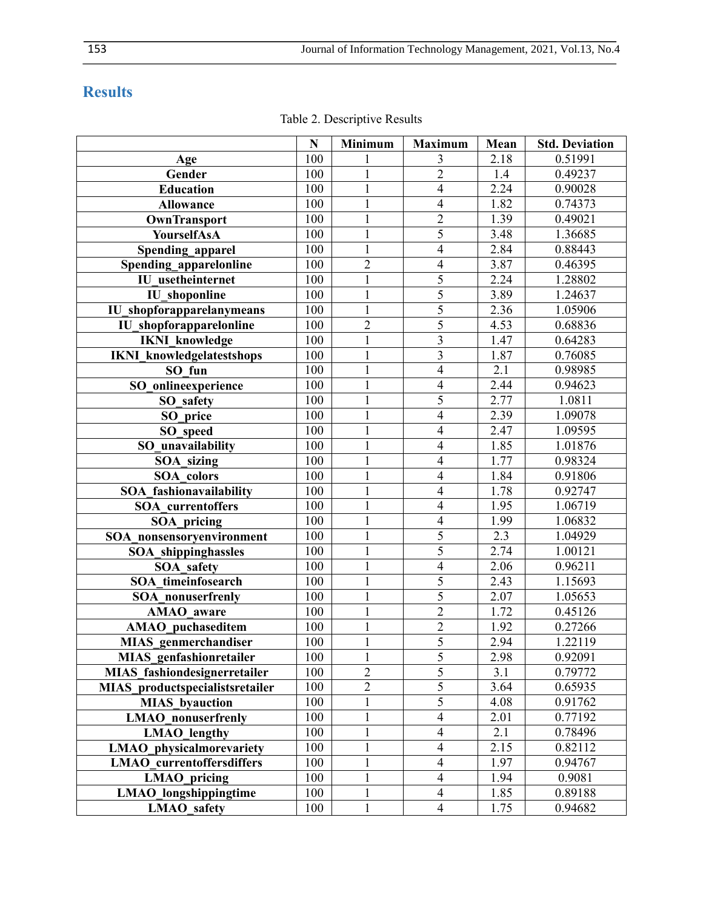# **Results**

|                                     | N   | <b>Minimum</b> | <b>Maximum</b>           | Mean             | <b>Std. Deviation</b> |
|-------------------------------------|-----|----------------|--------------------------|------------------|-----------------------|
| Age                                 | 100 |                | 3                        | 2.18             | 0.51991               |
| Gender                              | 100 | 1              | $\overline{2}$           | 1.4              | 0.49237               |
| <b>Education</b>                    | 100 | $\mathbf{1}$   | $\overline{\mathcal{A}}$ | 2.24             | 0.90028               |
| <b>Allowance</b>                    | 100 | $\mathbf{1}$   | $\overline{\mathcal{L}}$ | 1.82             | 0.74373               |
| OwnTransport                        | 100 | $\mathbf 1$    | $\overline{2}$           | 1.39             | 0.49021               |
| YourselfAsA                         | 100 | $\mathbf{1}$   | $\overline{5}$           | 3.48             | 1.36685               |
| Spending apparel                    | 100 | $\mathbf{1}$   | $\overline{4}$           | 2.84             | 0.88443               |
| Spending_apparelonline              | 100 | $\overline{2}$ | $\overline{\mathcal{L}}$ | 3.87             | 0.46395               |
| IU usetheinternet                   | 100 | $\mathbf{1}$   | 5                        | 2.24             | 1.28802               |
| <b>IU</b> shoponline                | 100 | $\mathbf{1}$   | 5                        | 3.89             | 1.24637               |
| IU shopforapparelanymeans           | 100 | $\mathbf{1}$   | $\overline{5}$           | 2.36             | 1.05906               |
| <b>IU</b> shopforapparelonline      | 100 | $\overline{2}$ | 5                        | 4.53             | 0.68836               |
| <b>IKNI</b> knowledge               | 100 | 1              | 3                        | 1.47             | 0.64283               |
| <b>IKNI</b> knowledgelatestshops    | 100 | $\mathbf{1}$   | 3                        | 1.87             | 0.76085               |
| SO fun                              | 100 | $\mathbf{1}$   | $\overline{\mathbf{4}}$  | 2.1              | 0.98985               |
| SO onlineexperience                 | 100 | $\mathbf{1}$   | $\overline{4}$           | 2.44             | 0.94623               |
| SO safety                           | 100 |                | 5                        | 2.77             | 1.0811                |
| SO price                            | 100 |                | $\overline{\mathcal{L}}$ | 2.39             | 1.09078               |
| SO_speed                            | 100 |                | $\overline{4}$           | 2.47             | 1.09595               |
| SO unavailability                   | 100 |                | $\overline{4}$           | 1.85             | 1.01876               |
| SOA sizing                          | 100 |                | $\overline{\mathbf{4}}$  | 1.77             | 0.98324               |
| SOA colors                          | 100 | $\mathbf{1}$   | $\overline{4}$           | 1.84             | 0.91806               |
| SOA fashionavailability             | 100 | $\mathbf{1}$   | $\overline{\mathcal{A}}$ | 1.78             | 0.92747               |
| <b>SOA</b> currentoffers            | 100 | $\mathbf{1}$   | $\overline{\mathcal{L}}$ | 1.95             | 1.06719               |
| SOA pricing                         | 100 | $\mathbf{1}$   | $\overline{\mathcal{A}}$ | 1.99             | 1.06832               |
| SOA_nonsensoryenvironment           | 100 | $\mathbf{1}$   | 5                        | 2.3              | 1.04929               |
| <b>SOA_shippinghassles</b>          | 100 | $\mathbf{1}$   | $\overline{5}$           | 2.74             | 1.00121               |
| <b>SOA</b> safety                   | 100 | $\mathbf{1}$   | $\overline{\mathbf{4}}$  | 2.06             | 0.96211               |
| <b>SOA</b> timeinfosearch           | 100 | $\mathbf{1}$   | 5                        | 2.43             | 1.15693               |
| <b>SOA</b> nonuserfrenly            | 100 | $\mathbf{1}$   | 5                        | 2.07             | 1.05653               |
| <b>AMAO</b> aware                   | 100 | $\mathbf{1}$   | $\overline{2}$           | 1.72             | 0.45126               |
| <b>AMAO_puchaseditem</b>            | 100 | $\mathbf{1}$   | $\overline{2}$           | 1.92             | 0.27266               |
| <b>MIAS</b> genmerchandiser         | 100 | $\mathbf{1}$   | $\overline{5}$           | 2.94             | 1.22119               |
| <b>MIAS</b> genfashionretailer      | 100 | 1              | 5                        | 2.98             | 0.92091               |
| <b>MIAS</b> fashiondesignerretailer | 100 | $\overline{2}$ | $\overline{5}$           | $\overline{3.1}$ | 0.79772               |
| MIAS productspecialistsretailer     | 100 | $\overline{c}$ | $\overline{5}$           | 3.64             | 0.65935               |
| <b>MIAS</b> byauction               | 100 | $\mathbf{1}$   | $\overline{5}$           | 4.08             | 0.91762               |
| <b>LMAO</b> nonuserfrenly           | 100 |                | $\overline{\mathbf{4}}$  | 2.01             | 0.77192               |
| <b>LMAO</b> lengthy                 | 100 | 1              | $\overline{\mathcal{L}}$ | 2.1              | 0.78496               |
| <b>LMAO</b> physicalmorevariety     | 100 | $\mathbf{1}$   | $\overline{\mathcal{L}}$ | 2.15             | 0.82112               |
| <b>LMAO</b> currentoffersdiffers    | 100 | $\mathbf{1}$   | $\overline{\mathbf{4}}$  | 1.97             | 0.94767               |
| <b>LMAO</b> pricing                 | 100 | $\mathbf 1$    | $\overline{\mathbf{4}}$  | 1.94             | 0.9081                |
| <b>LMAO</b> longshippingtime        | 100 | $\mathbf{1}$   | $\overline{4}$           | 1.85             | 0.89188               |
| <b>LMAO</b> safety                  | 100 | $\mathbf{1}$   | $\overline{4}$           | 1.75             | 0.94682               |

Table 2. Descriptive Results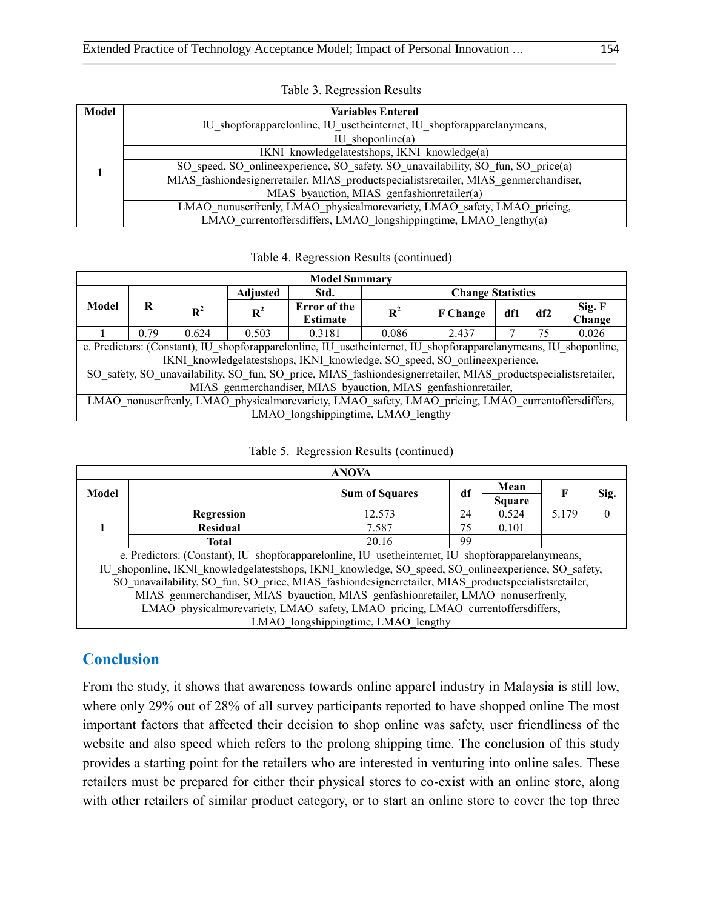| Model | <b>Variables Entered</b>                                                             |
|-------|--------------------------------------------------------------------------------------|
|       | IU shopforapparelonline, IU usetheinternet, IU shopforapparelanymeans,               |
|       | IU shoponline $(a)$                                                                  |
|       | IKNI knowledgelatestshops, IKNI knowledge(a)                                         |
|       | SO speed, SO online experience, SO safety, SO unavailability, SO fun, SO price(a)    |
|       | MIAS fashiondesignerretailer, MIAS productspecialistsretailer, MIAS genmerchandiser, |
|       | MIAS byauction, MIAS genfashionretailer(a)                                           |
|       | LMAO nonuserfrenly, LMAO physicalmorevariety, LMAO safety, LMAO pricing,             |
|       | LMAO currentoffersdiffers, LMAO longshippingtime, LMAO lengthy(a)                    |

| Table 3. Regression Results |  |  |
|-----------------------------|--|--|
|-----------------------------|--|--|

Table 4. Regression Results (continued)

| <b>Model Summary</b>                                                                                             |      |                |                 |                                 |                          |                 |     |     |                  |
|------------------------------------------------------------------------------------------------------------------|------|----------------|-----------------|---------------------------------|--------------------------|-----------------|-----|-----|------------------|
|                                                                                                                  |      |                | <b>Adjusted</b> | Std.                            | <b>Change Statistics</b> |                 |     |     |                  |
| Model                                                                                                            | R    | $\mathbf{R}^2$ | $\mathbf{R}^2$  | Error of the<br><b>Estimate</b> | $\mathbf{R}^2$           | <b>F</b> Change | df1 | df2 | Sig. F<br>Change |
|                                                                                                                  | 0.79 | 0.624          | 0.503           | 0.3181                          | 0.086                    | 2.437           |     | 75  | 0.026            |
| e. Predictors: (Constant), IU shopforapparelonline, IU usetheinternet, IU shopforapparelanymeans, IU shoponline, |      |                |                 |                                 |                          |                 |     |     |                  |
| IKNI knowledgelatestshops, IKNI knowledge, SO_speed, SO_onlineexperience,                                        |      |                |                 |                                 |                          |                 |     |     |                  |
| SO_safety, SO_unavailability, SO_fun, SO_price, MIAS_fashiondesignerretailer, MIAS_productspecialistsretailer,   |      |                |                 |                                 |                          |                 |     |     |                  |
| MIAS genmerchandiser, MIAS byauction, MIAS genfashionretailer,                                                   |      |                |                 |                                 |                          |                 |     |     |                  |
| LMAO nonuserfrenly, LMAO physicalmorevariety, LMAO safety, LMAO pricing, LMAO currentoffersdiffers,              |      |                |                 |                                 |                          |                 |     |     |                  |
| LMAO longshippingtime, LMAO lengthy                                                                              |      |                |                 |                                 |                          |                 |     |     |                  |

| <b>ANOVA</b>                                                                                         |                   |                       |    |               |       |      |  |
|------------------------------------------------------------------------------------------------------|-------------------|-----------------------|----|---------------|-------|------|--|
| Model                                                                                                |                   |                       | df | Mean          | F     | Sig. |  |
|                                                                                                      |                   | <b>Sum of Squares</b> |    | <b>Square</b> |       |      |  |
|                                                                                                      | <b>Regression</b> | 12.573                | 24 | 0.524         | 5.179 |      |  |
|                                                                                                      | <b>Residual</b>   | 7.587                 | 75 | 0.101         |       |      |  |
|                                                                                                      | <b>Total</b>      | 20.16                 | 99 |               |       |      |  |
| e. Predictors: (Constant), IU shopforapparelonline, IU usetheinternet, IU shopforapparelanymeans,    |                   |                       |    |               |       |      |  |
| IU shoponline, IKNI knowledgelatestshops, IKNI knowledge, SO speed, SO online experience, SO safety, |                   |                       |    |               |       |      |  |
| SO unavailability, SO fun, SO price, MIAS fashiondesignerretailer, MIAS productspecialistsretailer,  |                   |                       |    |               |       |      |  |
| MIAS genmerchandiser, MIAS byauction, MIAS genfashionretailer, LMAO nonuserfrenly,                   |                   |                       |    |               |       |      |  |
| LMAO physicalmorevariety, LMAO safety, LMAO pricing, LMAO currentoffersdiffers,                      |                   |                       |    |               |       |      |  |
| LMAO longshippingtime, LMAO lengthy                                                                  |                   |                       |    |               |       |      |  |

# **Conclusion**

From the study, it shows that awareness towards online apparel industry in Malaysia is still low, where only 29% out of 28% of all survey participants reported to have shopped online The most important factors that affected their decision to shop online was safety, user friendliness of the website and also speed which refers to the prolong shipping time. The conclusion of this study provides a starting point for the retailers who are interested in venturing into online sales. These retailers must be prepared for either their physical stores to co-exist with an online store, along with other retailers of similar product category, or to start an online store to cover the top three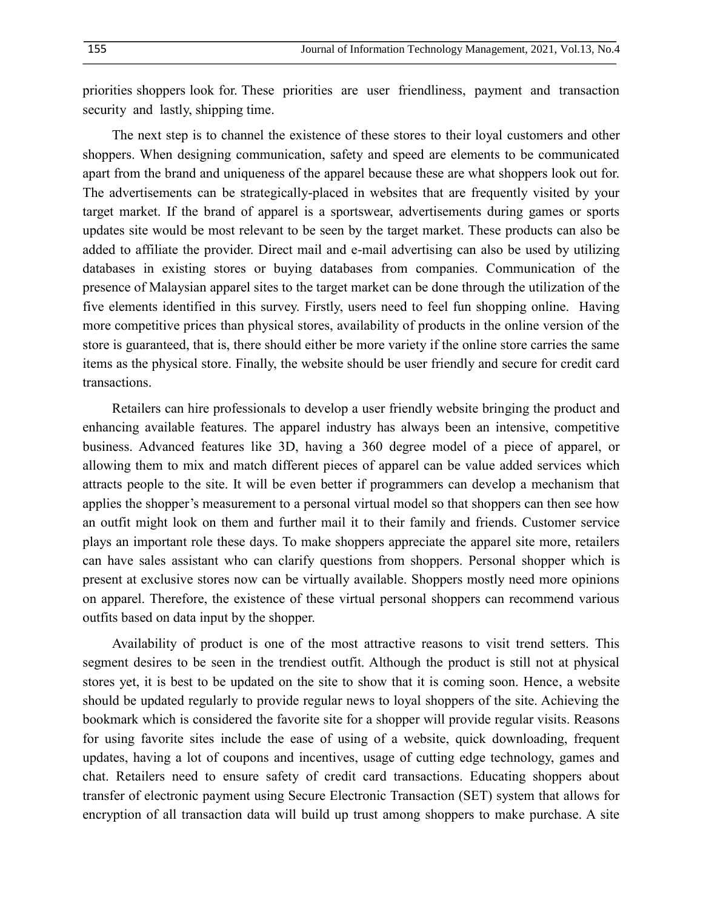priorities shoppers look for. These priorities are user friendliness, payment and transaction security and lastly, shipping time.

The next step is to channel the existence of these stores to their loyal customers and other shoppers. When designing communication, safety and speed are elements to be communicated apart from the brand and uniqueness of the apparel because these are what shoppers look out for. The advertisements can be strategically-placed in websites that are frequently visited by your target market. If the brand of apparel is a sportswear, advertisements during games or sports updates site would be most relevant to be seen by the target market. These products can also be added to affiliate the provider. Direct mail and e-mail advertising can also be used by utilizing databases in existing stores or buying databases from companies. Communication of the presence of Malaysian apparel sites to the target market can be done through the utilization of the five elements identified in this survey. Firstly, users need to feel fun shopping online. Having more competitive prices than physical stores, availability of products in the online version of the store is guaranteed, that is, there should either be more variety if the online store carries the same items as the physical store. Finally, the website should be user friendly and secure for credit card transactions.

Retailers can hire professionals to develop a user friendly website bringing the product and enhancing available features. The apparel industry has always been an intensive, competitive business. Advanced features like 3D, having a 360 degree model of a piece of apparel, or allowing them to mix and match different pieces of apparel can be value added services which attracts people to the site. It will be even better if programmers can develop a mechanism that applies the shopper's measurement to a personal virtual model so that shoppers can then see how an outfit might look on them and further mail it to their family and friends. Customer service plays an important role these days. To make shoppers appreciate the apparel site more, retailers can have sales assistant who can clarify questions from shoppers. Personal shopper which is present at exclusive stores now can be virtually available. Shoppers mostly need more opinions on apparel. Therefore, the existence of these virtual personal shoppers can recommend various outfits based on data input by the shopper.

Availability of product is one of the most attractive reasons to visit trend setters. This segment desires to be seen in the trendiest outfit. Although the product is still not at physical stores yet, it is best to be updated on the site to show that it is coming soon. Hence, a website should be updated regularly to provide regular news to loyal shoppers of the site. Achieving the bookmark which is considered the favorite site for a shopper will provide regular visits. Reasons for using favorite sites include the ease of using of a website, quick downloading, frequent updates, having a lot of coupons and incentives, usage of cutting edge technology, games and chat. Retailers need to ensure safety of credit card transactions. Educating shoppers about transfer of electronic payment using Secure Electronic Transaction (SET) system that allows for encryption of all transaction data will build up trust among shoppers to make purchase. A site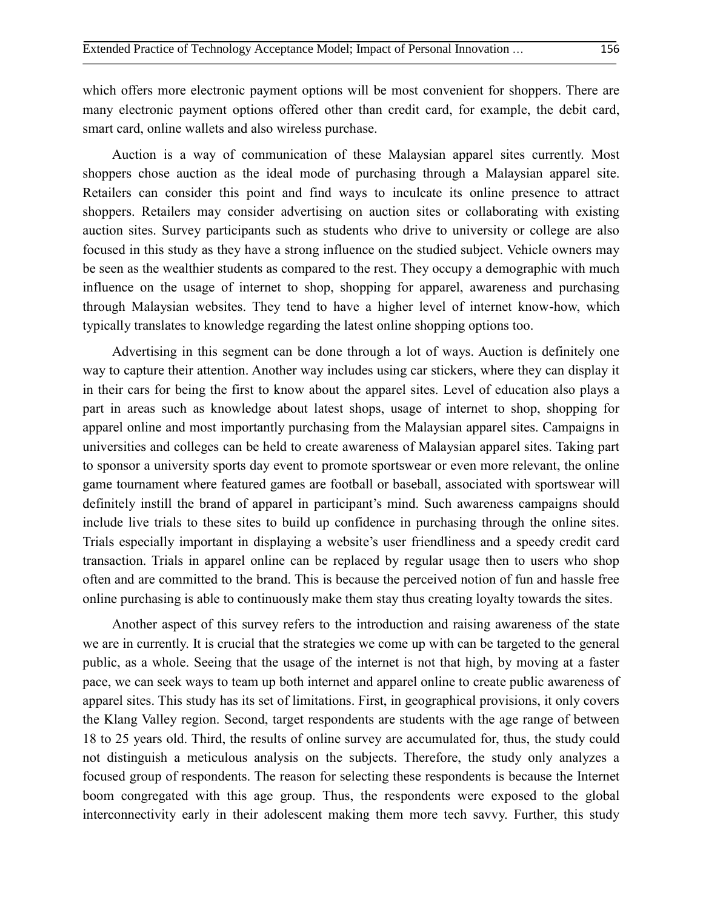which offers more electronic payment options will be most convenient for shoppers. There are many electronic payment options offered other than credit card, for example, the debit card, smart card, online wallets and also wireless purchase.

Auction is a way of communication of these Malaysian apparel sites currently. Most shoppers chose auction as the ideal mode of purchasing through a Malaysian apparel site. Retailers can consider this point and find ways to inculcate its online presence to attract shoppers. Retailers may consider advertising on auction sites or collaborating with existing auction sites. Survey participants such as students who drive to university or college are also focused in this study as they have a strong influence on the studied subject. Vehicle owners may be seen as the wealthier students as compared to the rest. They occupy a demographic with much influence on the usage of internet to shop, shopping for apparel, awareness and purchasing through Malaysian websites. They tend to have a higher level of internet know-how, which typically translates to knowledge regarding the latest online shopping options too.

Advertising in this segment can be done through a lot of ways. Auction is definitely one way to capture their attention. Another way includes using car stickers, where they can display it in their cars for being the first to know about the apparel sites. Level of education also plays a part in areas such as knowledge about latest shops, usage of internet to shop, shopping for apparel online and most importantly purchasing from the Malaysian apparel sites. Campaigns in universities and colleges can be held to create awareness of Malaysian apparel sites. Taking part to sponsor a university sports day event to promote sportswear or even more relevant, the online game tournament where featured games are football or baseball, associated with sportswear will definitely instill the brand of apparel in participant's mind. Such awareness campaigns should include live trials to these sites to build up confidence in purchasing through the online sites. Trials especially important in displaying a website's user friendliness and a speedy credit card transaction. Trials in apparel online can be replaced by regular usage then to users who shop often and are committed to the brand. This is because the perceived notion of fun and hassle free online purchasing is able to continuously make them stay thus creating loyalty towards the sites.

Another aspect of this survey refers to the introduction and raising awareness of the state we are in currently. It is crucial that the strategies we come up with can be targeted to the general public, as a whole. Seeing that the usage of the internet is not that high, by moving at a faster pace, we can seek ways to team up both internet and apparel online to create public awareness of apparel sites. This study has its set of limitations. First, in geographical provisions, it only covers the Klang Valley region. Second, target respondents are students with the age range of between 18 to 25 years old. Third, the results of online survey are accumulated for, thus, the study could not distinguish a meticulous analysis on the subjects. Therefore, the study only analyzes a focused group of respondents. The reason for selecting these respondents is because the Internet boom congregated with this age group. Thus, the respondents were exposed to the global interconnectivity early in their adolescent making them more tech savvy. Further, this study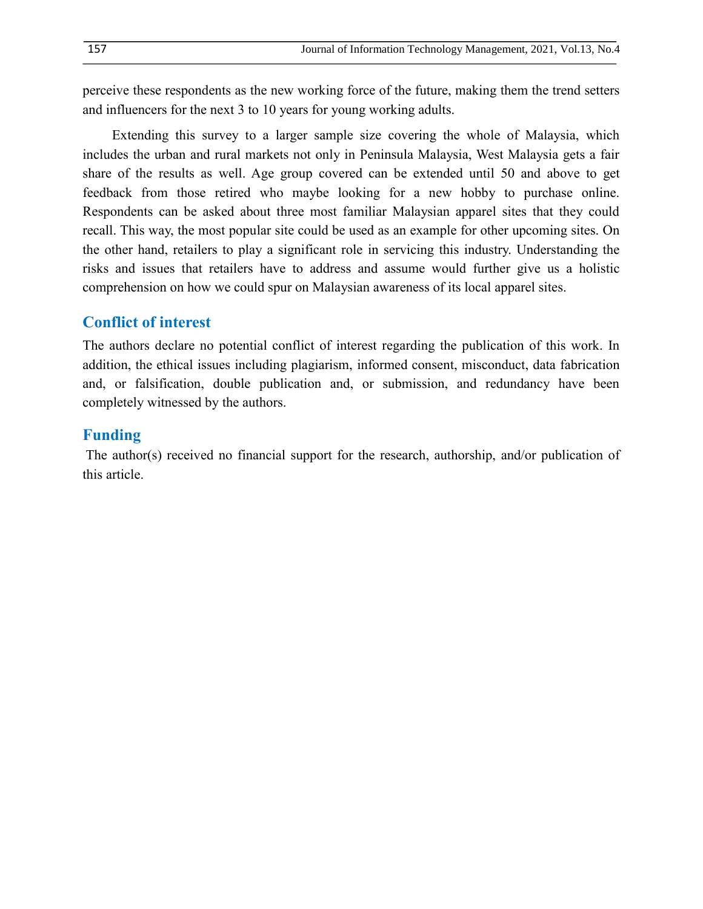perceive these respondents as the new working force of the future, making them the trend setters and influencers for the next 3 to 10 years for young working adults.

Extending this survey to a larger sample size covering the whole of Malaysia, which includes the urban and rural markets not only in Peninsula Malaysia, West Malaysia gets a fair share of the results as well. Age group covered can be extended until 50 and above to get feedback from those retired who maybe looking for a new hobby to purchase online. Respondents can be asked about three most familiar Malaysian apparel sites that they could recall. This way, the most popular site could be used as an example for other upcoming sites. On the other hand, retailers to play a significant role in servicing this industry. Understanding the risks and issues that retailers have to address and assume would further give us a holistic comprehension on how we could spur on Malaysian awareness of its local apparel sites.

# **Conflict of interest**

The authors declare no potential conflict of interest regarding the publication of this work. In addition, the ethical issues including plagiarism, informed consent, misconduct, data fabrication and, or falsification, double publication and, or submission, and redundancy have been completely witnessed by the authors.

### **Funding**

The author(s) received no financial support for the research, authorship, and/or publication of this article.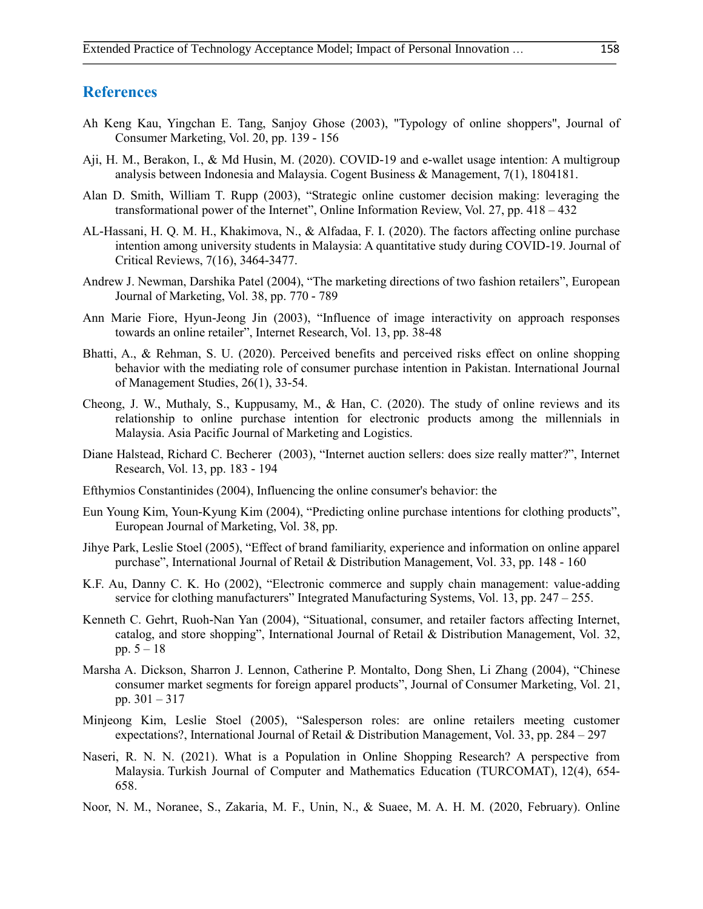#### **References**

- Ah Keng Kau, Yingchan E. Tang, Sanjoy Ghose (2003), "Typology of online shoppers", Journal of Consumer Marketing, Vol. 20, pp. 139 - 156
- Aji, H. M., Berakon, I., & Md Husin, M. (2020). COVID-19 and e-wallet usage intention: A multigroup analysis between Indonesia and Malaysia. Cogent Business & Management, 7(1), 1804181.
- Alan D. Smith, William T. Rupp (2003), "Strategic online customer decision making: leveraging the transformational power of the Internet", Online Information Review, Vol. 27, pp. 418 – 432
- AL-Hassani, H. Q. M. H., Khakimova, N., & Alfadaa, F. I. (2020). The factors affecting online purchase intention among university students in Malaysia: A quantitative study during COVID-19. Journal of Critical Reviews, 7(16), 3464-3477.
- Andrew J. Newman, Darshika Patel (2004), "The marketing directions of two fashion retailers", European Journal of Marketing, Vol. 38, pp. 770 - 789
- Ann Marie Fiore, Hyun-Jeong Jin (2003), "Influence of image interactivity on approach responses towards an online retailer", Internet Research, Vol. 13, pp. 38-48
- Bhatti, A., & Rehman, S. U. (2020). Perceived benefits and perceived risks effect on online shopping behavior with the mediating role of consumer purchase intention in Pakistan. International Journal of Management Studies, 26(1), 33-54.
- Cheong, J. W., Muthaly, S., Kuppusamy, M., & Han, C. (2020). The study of online reviews and its relationship to online purchase intention for electronic products among the millennials in Malaysia. Asia Pacific Journal of Marketing and Logistics.
- Diane Halstead, Richard C. Becherer (2003), "Internet auction sellers: does size really matter?", Internet Research, Vol. 13, pp. 183 - 194
- Efthymios Constantinides (2004), Influencing the online consumer's behavior: the
- Eun Young Kim, Youn-Kyung Kim (2004), "Predicting online purchase intentions for clothing products", European Journal of Marketing, Vol. 38, pp.
- Jihye Park, Leslie Stoel (2005), "Effect of brand familiarity, experience and information on online apparel purchase", International Journal of Retail & Distribution Management, Vol. 33, pp. 148 - 160
- K.F. Au, Danny C. K. Ho (2002), "Electronic commerce and supply chain management: value-adding service for clothing manufacturers" Integrated Manufacturing Systems, Vol. 13, pp. 247 - 255.
- Kenneth C. Gehrt, Ruoh-Nan Yan (2004), "Situational, consumer, and retailer factors affecting Internet, catalog, and store shopping", International Journal of Retail & Distribution Management, Vol. 32, pp.  $5 - 18$
- Marsha A. Dickson, Sharron J. Lennon, Catherine P. Montalto, Dong Shen, Li Zhang (2004), "Chinese consumer market segments for foreign apparel products", Journal of Consumer Marketing, Vol. 21, pp. 301 – 317
- Minjeong Kim, Leslie Stoel (2005), "Salesperson roles: are online retailers meeting customer expectations?, International Journal of Retail & Distribution Management, Vol. 33, pp. 284 – 297
- Naseri, R. N. N. (2021). What is a Population in Online Shopping Research? A perspective from Malaysia. Turkish Journal of Computer and Mathematics Education (TURCOMAT), 12(4), 654- 658.
- Noor, N. M., Noranee, S., Zakaria, M. F., Unin, N., & Suaee, M. A. H. M. (2020, February). Online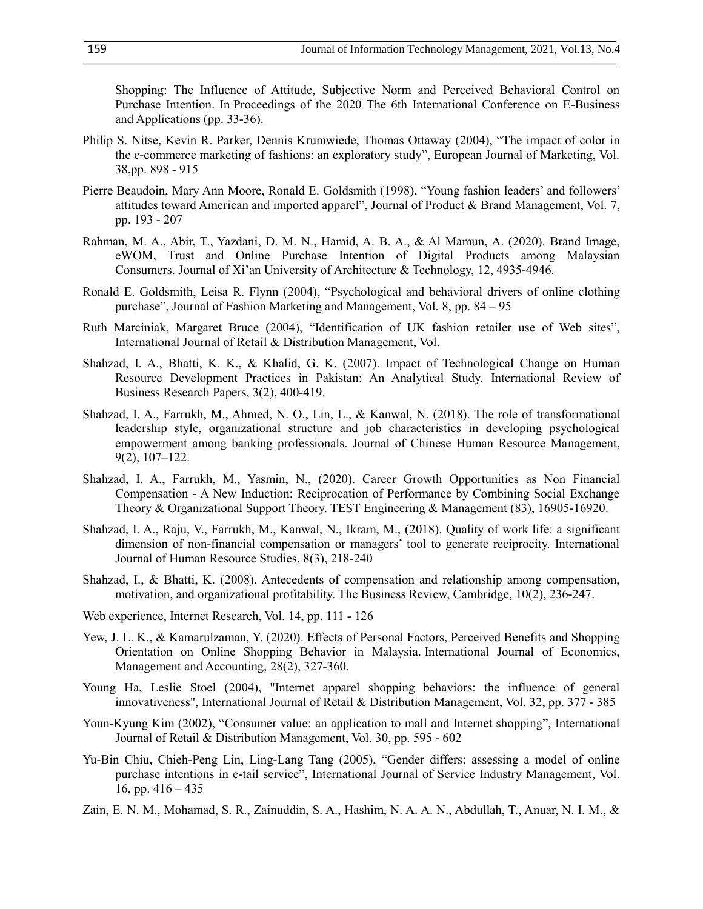Shopping: The Influence of Attitude, Subjective Norm and Perceived Behavioral Control on Purchase Intention. In Proceedings of the 2020 The 6th International Conference on E-Business and Applications (pp. 33-36).

- Philip S. Nitse, Kevin R. Parker, Dennis Krumwiede, Thomas Ottaway (2004), "The impact of color in the e-commerce marketing of fashions: an exploratory study", European Journal of Marketing, Vol. 38,pp. 898 - 915
- Pierre Beaudoin, Mary Ann Moore, Ronald E. Goldsmith (1998), "Young fashion leaders' and followers' attitudes toward American and imported apparel", Journal of Product & Brand Management, Vol. 7, pp. 193 - 207
- Rahman, M. A., Abir, T., Yazdani, D. M. N., Hamid, A. B. A., & Al Mamun, A. (2020). Brand Image, eWOM, Trust and Online Purchase Intention of Digital Products among Malaysian Consumers. Journal of Xi'an University of Architecture & Technology, 12, 4935-4946.
- Ronald E. Goldsmith, Leisa R. Flynn (2004), "Psychological and behavioral drivers of online clothing purchase", Journal of Fashion Marketing and Management, Vol. 8, pp. 84 – 95
- Ruth Marciniak, Margaret Bruce (2004), "Identification of UK fashion retailer use of Web sites", International Journal of Retail & Distribution Management, Vol.
- Shahzad, I. A., Bhatti, K. K., & Khalid, G. K. (2007). Impact of Technological Change on Human Resource Development Practices in Pakistan: An Analytical Study. International Review of Business Research Papers, 3(2), 400-419.
- Shahzad, I. A., Farrukh, M., Ahmed, N. O., Lin, L., & Kanwal, N. (2018). The role of transformational leadership style, organizational structure and job characteristics in developing psychological empowerment among banking professionals. Journal of Chinese Human Resource Management, 9(2), 107–122.
- Shahzad, I. A., Farrukh, M., Yasmin, N., (2020). Career Growth Opportunities as Non Financial Compensation - A New Induction: Reciprocation of Performance by Combining Social Exchange Theory & Organizational Support Theory. TEST Engineering & Management (83), 16905-16920.
- Shahzad, I. A., Raju, V., Farrukh, M., Kanwal, N., Ikram, M., (2018). Quality of work life: a significant dimension of non-financial compensation or managers' tool to generate reciprocity. International Journal of Human Resource Studies, 8(3), 218-240
- Shahzad, I., & Bhatti, K. (2008). Antecedents of compensation and relationship among compensation, motivation, and organizational profitability. The Business Review, Cambridge, 10(2), 236-247.
- Web experience, Internet Research, Vol. 14, pp. 111 126
- Yew, J. L. K., & Kamarulzaman, Y. (2020). Effects of Personal Factors, Perceived Benefits and Shopping Orientation on Online Shopping Behavior in Malaysia. International Journal of Economics, Management and Accounting, 28(2), 327-360.
- Young Ha, Leslie Stoel (2004), "Internet apparel shopping behaviors: the influence of general innovativeness", International Journal of Retail & Distribution Management, Vol. 32, pp. 377 - 385
- Youn-Kyung Kim (2002), "Consumer value: an application to mall and Internet shopping", International Journal of Retail & Distribution Management, Vol. 30, pp. 595 - 602
- Yu-Bin Chiu, Chieh-Peng Lin, Ling-Lang Tang (2005), "Gender differs: assessing a model of online purchase intentions in e-tail service", International Journal of Service Industry Management, Vol. 16, pp.  $416 - 435$
- Zain, E. N. M., Mohamad, S. R., Zainuddin, S. A., Hashim, N. A. A. N., Abdullah, T., Anuar, N. I. M., &